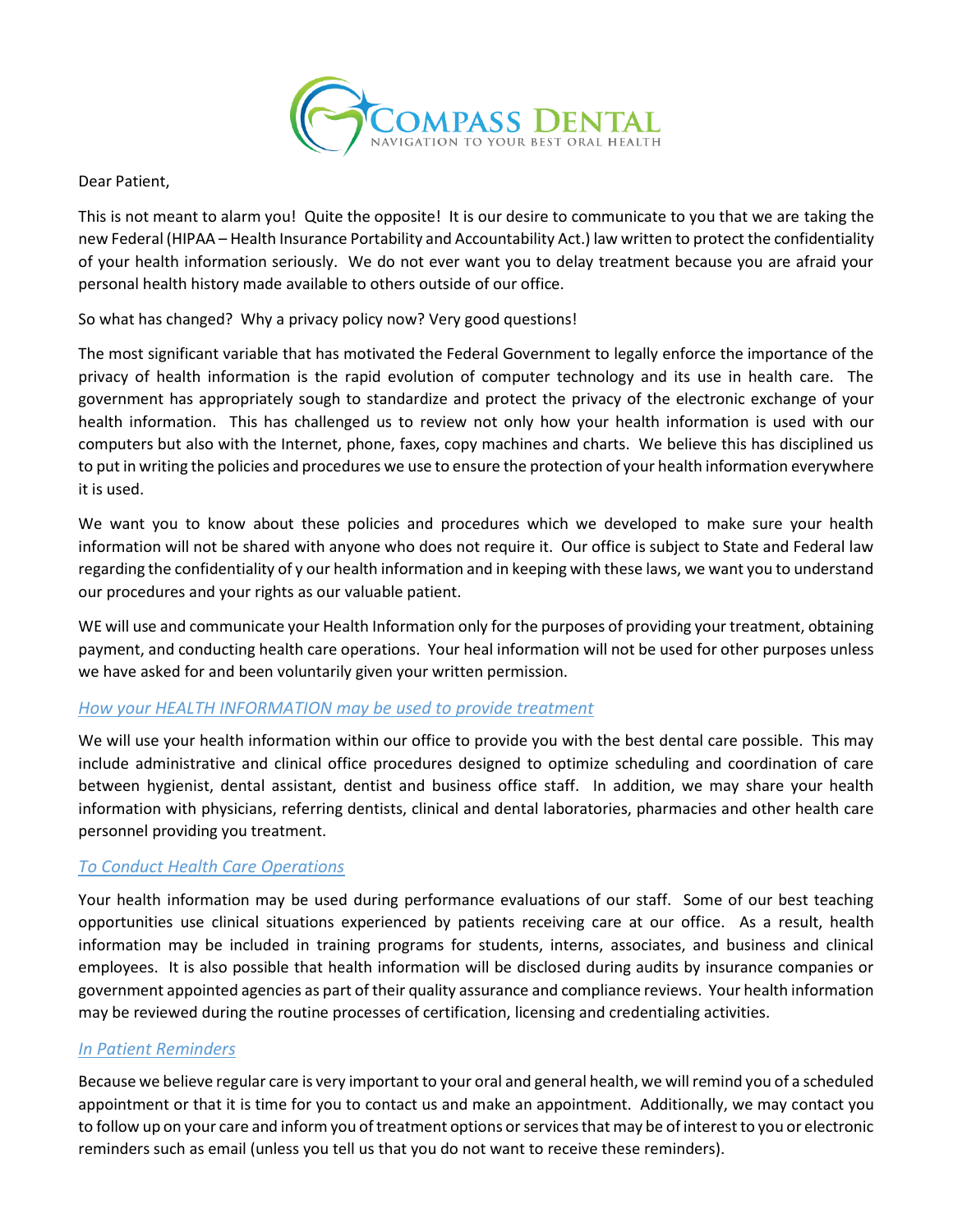

Dear Patient,

This is not meant to alarm you! Quite the opposite! It is our desire to communicate to you that we are taking the new Federal (HIPAA – Health Insurance Portability and Accountability Act.) law written to protect the confidentiality of your health information seriously. We do not ever want you to delay treatment because you are afraid your personal health history made available to others outside of our office.

So what has changed? Why a privacy policy now? Very good questions!

The most significant variable that has motivated the Federal Government to legally enforce the importance of the privacy of health information is the rapid evolution of computer technology and its use in health care. The government has appropriately sough to standardize and protect the privacy of the electronic exchange of your health information. This has challenged us to review not only how your health information is used with our computers but also with the Internet, phone, faxes, copy machines and charts. We believe this has disciplined us to put in writing the policies and procedures we use to ensure the protection of your health information everywhere it is used.

We want you to know about these policies and procedures which we developed to make sure your health information will not be shared with anyone who does not require it. Our office is subject to State and Federal law regarding the confidentiality of y our health information and in keeping with these laws, we want you to understand our procedures and your rights as our valuable patient.

WE will use and communicate your Health Information only for the purposes of providing your treatment, obtaining payment, and conducting health care operations. Your heal information will not be used for other purposes unless we have asked for and been voluntarily given your written permission.

# *How your HEALTH INFORMATION may be used to provide treatment*

We will use your health information within our office to provide you with the best dental care possible. This may include administrative and clinical office procedures designed to optimize scheduling and coordination of care between hygienist, dental assistant, dentist and business office staff. In addition, we may share your health information with physicians, referring dentists, clinical and dental laboratories, pharmacies and other health care personnel providing you treatment.

# *To Conduct Health Care Operations*

Your health information may be used during performance evaluations of our staff. Some of our best teaching opportunities use clinical situations experienced by patients receiving care at our office. As a result, health information may be included in training programs for students, interns, associates, and business and clinical employees. It is also possible that health information will be disclosed during audits by insurance companies or government appointed agencies as part of their quality assurance and compliance reviews. Your health information may be reviewed during the routine processes of certification, licensing and credentialing activities.

### *In Patient Reminders*

Because we believe regular care is very important to your oral and general health, we will remind you of a scheduled appointment or that it is time for you to contact us and make an appointment. Additionally, we may contact you to follow up on your care and inform you of treatment options or services that may be of interest to you or electronic reminders such as email (unless you tell us that you do not want to receive these reminders).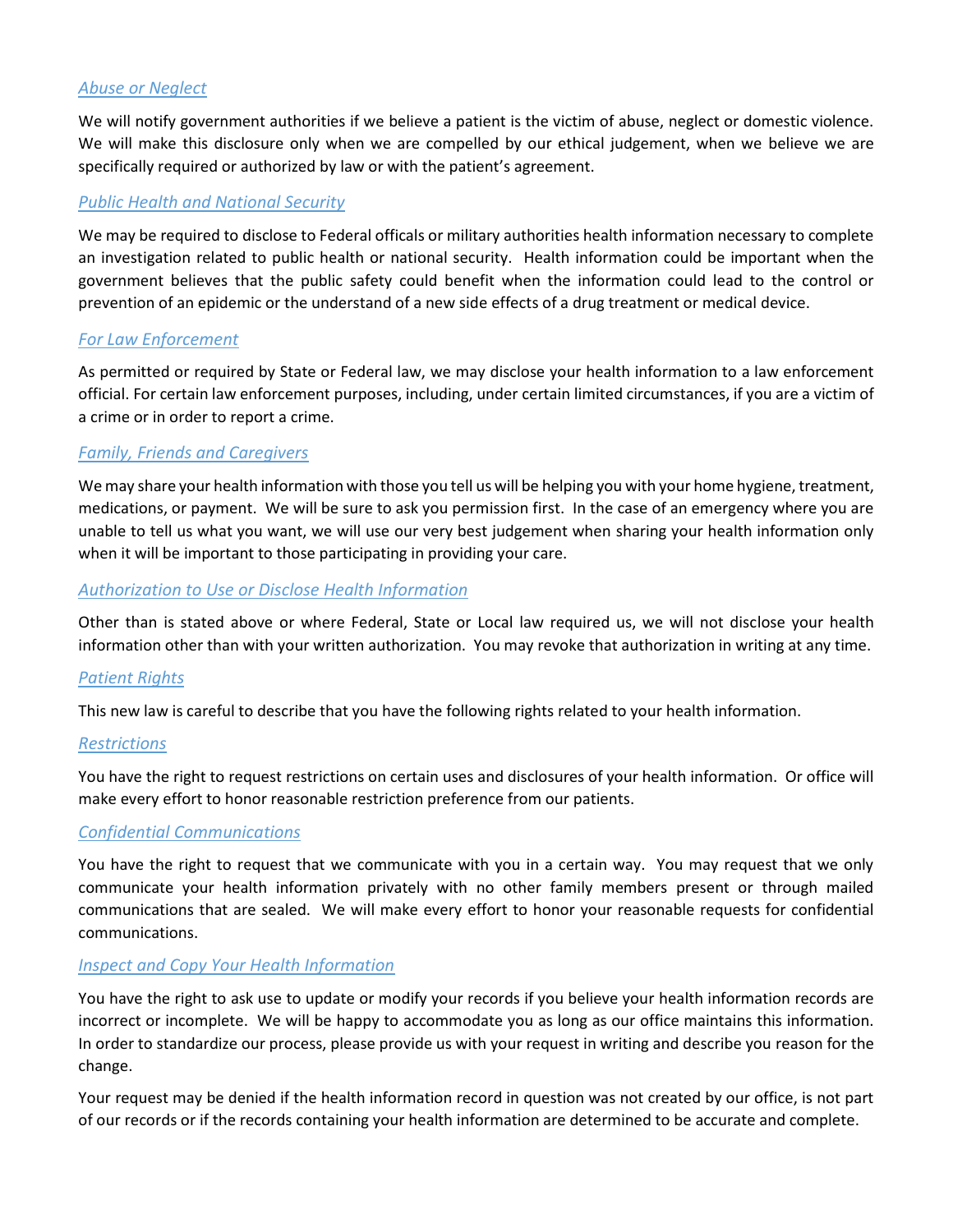### *Abuse or Neglect*

We will notify government authorities if we believe a patient is the victim of abuse, neglect or domestic violence. We will make this disclosure only when we are compelled by our ethical judgement, when we believe we are specifically required or authorized by law or with the patient's agreement.

#### *Public Health and National Security*

We may be required to disclose to Federal officals or military authorities health information necessary to complete an investigation related to public health or national security. Health information could be important when the government believes that the public safety could benefit when the information could lead to the control or prevention of an epidemic or the understand of a new side effects of a drug treatment or medical device.

#### *For Law Enforcement*

As permitted or required by State or Federal law, we may disclose your health information to a law enforcement official. For certain law enforcement purposes, including, under certain limited circumstances, if you are a victim of a crime or in order to report a crime.

### *Family, Friends and Caregivers*

We may share your health information with those you tell us will be helping you with your home hygiene, treatment, medications, or payment. We will be sure to ask you permission first. In the case of an emergency where you are unable to tell us what you want, we will use our very best judgement when sharing your health information only when it will be important to those participating in providing your care.

### *Authorization to Use or Disclose Health Information*

Other than is stated above or where Federal, State or Local law required us, we will not disclose your health information other than with your written authorization. You may revoke that authorization in writing at any time.

### *Patient Rights*

This new law is careful to describe that you have the following rights related to your health information.

### *Restrictions*

You have the right to request restrictions on certain uses and disclosures of your health information. Or office will make every effort to honor reasonable restriction preference from our patients.

### *Confidential Communications*

You have the right to request that we communicate with you in a certain way. You may request that we only communicate your health information privately with no other family members present or through mailed communications that are sealed. We will make every effort to honor your reasonable requests for confidential communications.

### *Inspect and Copy Your Health Information*

You have the right to ask use to update or modify your records if you believe your health information records are incorrect or incomplete. We will be happy to accommodate you as long as our office maintains this information. In order to standardize our process, please provide us with your request in writing and describe you reason for the change.

Your request may be denied if the health information record in question was not created by our office, is not part of our records or if the records containing your health information are determined to be accurate and complete.